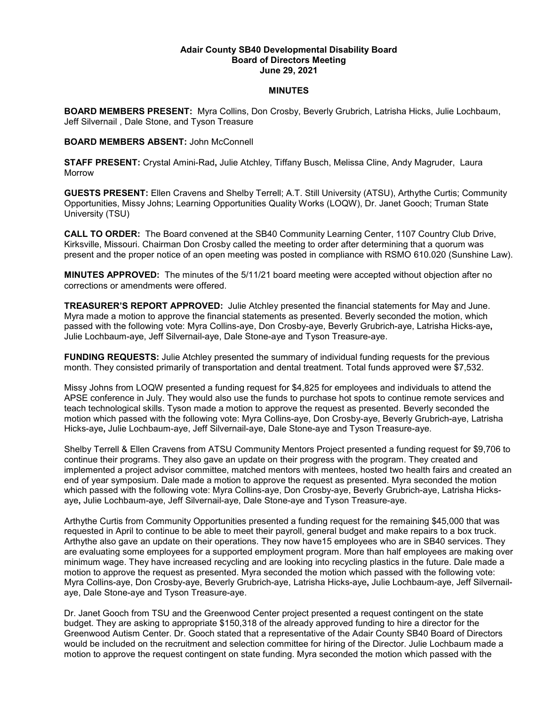## **Adair County SB40 Developmental Disability Board Board of Directors Meeting June 29, 2021**

## **MINUTES**

**BOARD MEMBERS PRESENT:** Myra Collins, Don Crosby, Beverly Grubrich, Latrisha Hicks, Julie Lochbaum, Jeff Silvernail , Dale Stone, and Tyson Treasure

## **BOARD MEMBERS ABSENT:** John McConnell

**STAFF PRESENT:** Crystal Amini-Rad**,** Julie Atchley, Tiffany Busch, Melissa Cline, Andy Magruder, Laura Morrow

**GUESTS PRESENT:** Ellen Cravens and Shelby Terrell; A.T. Still University (ATSU), Arthythe Curtis; Community Opportunities, Missy Johns; Learning Opportunities Quality Works (LOQW), Dr. Janet Gooch; Truman State University (TSU)

**CALL TO ORDER:** The Board convened at the SB40 Community Learning Center, 1107 Country Club Drive, Kirksville, Missouri. Chairman Don Crosby called the meeting to order after determining that a quorum was present and the proper notice of an open meeting was posted in compliance with RSMO 610.020 (Sunshine Law).

**MINUTES APPROVED:** The minutes of the 5/11/21 board meeting were accepted without objection after no corrections or amendments were offered.

**TREASURER'S REPORT APPROVED:** Julie Atchley presented the financial statements for May and June. Myra made a motion to approve the financial statements as presented. Beverly seconded the motion, which passed with the following vote: Myra Collins-aye, Don Crosby-aye, Beverly Grubrich-aye, Latrisha Hicks-aye**,**  Julie Lochbaum-aye, Jeff Silvernail-aye, Dale Stone-aye and Tyson Treasure-aye.

**FUNDING REQUESTS:** Julie Atchley presented the summary of individual funding requests for the previous month. They consisted primarily of transportation and dental treatment. Total funds approved were \$7,532.

Missy Johns from LOQW presented a funding request for \$4,825 for employees and individuals to attend the APSE conference in July. They would also use the funds to purchase hot spots to continue remote services and teach technological skills. Tyson made a motion to approve the request as presented. Beverly seconded the motion which passed with the following vote: Myra Collins-aye, Don Crosby-aye, Beverly Grubrich-aye, Latrisha Hicks-aye**,** Julie Lochbaum-aye, Jeff Silvernail-aye, Dale Stone-aye and Tyson Treasure-aye.

Shelby Terrell & Ellen Cravens from ATSU Community Mentors Project presented a funding request for \$9,706 to continue their programs. They also gave an update on their progress with the program. They created and implemented a project advisor committee, matched mentors with mentees, hosted two health fairs and created an end of year symposium. Dale made a motion to approve the request as presented. Myra seconded the motion which passed with the following vote: Myra Collins-aye, Don Crosby-aye, Beverly Grubrich-aye, Latrisha Hicksaye**,** Julie Lochbaum-aye, Jeff Silvernail-aye, Dale Stone-aye and Tyson Treasure-aye.

Arthythe Curtis from Community Opportunities presented a funding request for the remaining \$45,000 that was requested in April to continue to be able to meet their payroll, general budget and make repairs to a box truck. Arthythe also gave an update on their operations. They now have15 employees who are in SB40 services. They are evaluating some employees for a supported employment program. More than half employees are making over minimum wage. They have increased recycling and are looking into recycling plastics in the future. Dale made a motion to approve the request as presented. Myra seconded the motion which passed with the following vote: Myra Collins-aye, Don Crosby-aye, Beverly Grubrich-aye, Latrisha Hicks-aye**,** Julie Lochbaum-aye, Jeff Silvernailaye, Dale Stone-aye and Tyson Treasure-aye.

Dr. Janet Gooch from TSU and the Greenwood Center project presented a request contingent on the state budget. They are asking to appropriate \$150,318 of the already approved funding to hire a director for the Greenwood Autism Center. Dr. Gooch stated that a representative of the Adair County SB40 Board of Directors would be included on the recruitment and selection committee for hiring of the Director. Julie Lochbaum made a motion to approve the request contingent on state funding. Myra seconded the motion which passed with the